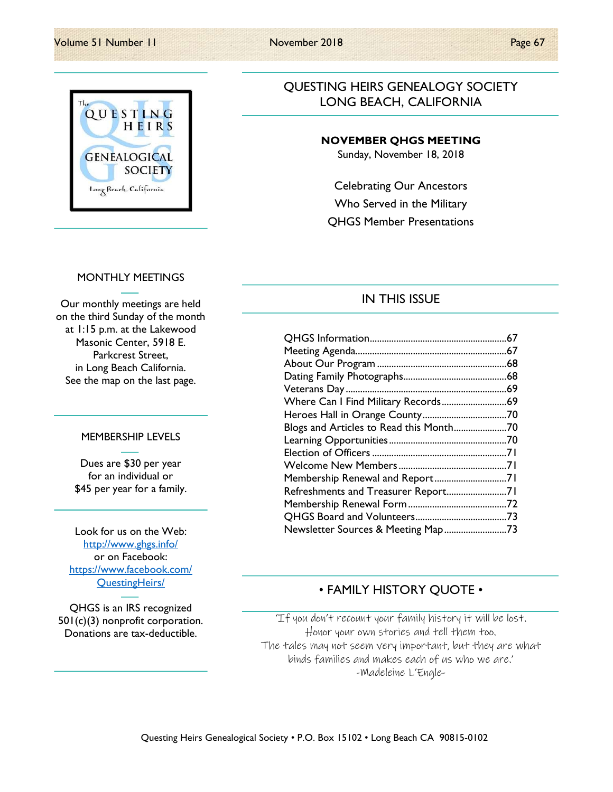#### Volume 51 Number 11 November 2018 Page 67

# QUESTING HEIRS **GENEALOGICAL SOCIETY** Long Beach, California

### QUESTING HEIRS GENEALOGY SOCIETY LONG BEACH, CALIFORNIA

### NOVEMBER QHGS MEETING

Sunday, November 18, 2018

Celebrating Our Ancestors Who Served in the Military QHGS Member Presentations

#### MONTHLY MEETINGS

Our monthly meetings are held on the third Sunday of the month at 1:15 p.m. at the Lakewood Masonic Center, 5918 E. Parkcrest Street, in Long Beach California. See the map on the last page.

#### MEMBERSHIP LEVELS

Dues are \$30 per year for an individual or \$45 per year for a family.

Look for us on the Web: http://www.ghgs.info/ or on Facebook: https://www.facebook.com/ QuestingHeirs/

QHGS is an IRS recognized 501(c)(3) nonprofit corporation. Donations are tax-deductible.

### IN THIS ISSUE

| Blogs and Articles to Read this Month70 |  |
|-----------------------------------------|--|
|                                         |  |
|                                         |  |
|                                         |  |
| Membership Renewal and Report71         |  |
| Refreshments and Treasurer Report71     |  |
|                                         |  |
|                                         |  |
| Newsletter Sources & Meeting Map73      |  |

### • FAMILY HISTORY QUOTE •

'If you don't recount your family history it will be lost. Honor your own stories and tell them too. The tales may not seem very important, but they are what binds families and makes each of us who we are.' -Madeleine L'Engle-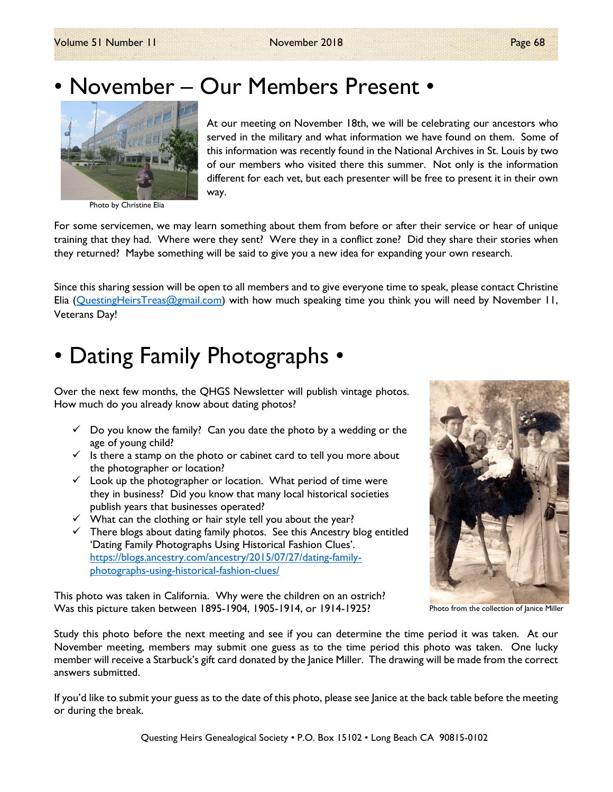

Photo by Christine Elia

At our meeting on November 18th, we will be celebrating our ancestors who served in the military and what information we have found on them. Some of this information was recently found in the National Archives in St. Louis by two of our members who visited there this summer. Not only is the information different for each vet, but each presenter will be free to present it in their own way.

For some servicemen, we may learn something about them from before or after their service or hear of unique training that they had. Where were they sent? Were they in a conflict zone? Did they share their stories when they returned? Maybe something will be said to give you a new idea for expanding your own research.

Since this sharing session will be open to all members and to give everyone time to speak, please contact Christine Elia (QuestingHeirsTreas@gmail.com) with how much speaking time you think you will need by November 11, Veterans Day!

# • Dating Family Photographs •

Over the next few months, the QHGS Newsletter will publish vintage photos. How much do you already know about dating photos?

- $\checkmark$  Do you know the family? Can you date the photo by a wedding or the age of young child?
- $\checkmark$  Is there a stamp on the photo or cabinet card to tell you more about the photographer or location?
- $\checkmark$  Look up the photographer or location. What period of time were they in business? Did you know that many local historical societies publish years that businesses operated?
- $\checkmark$  What can the clothing or hair style tell you about the year?
- $\checkmark$  There blogs about dating family photos. See this Ancestry blog entitled 'Dating Family Photographs Using Historical Fashion Clues'. https://blogs.ancestry.com/ancestry/2015/07/27/dating-familyphotographs-using-historical-fashion-clues/

This photo was taken in California. Why were the children on an ostrich? Was this picture taken between 1895-1904, 1905-1914, or 1914-1925?



Photo from the collection of Janice Miller

Study this photo before the next meeting and see if you can determine the time period it was taken. At our November meeting, members may submit one guess as to the time period this photo was taken. One lucky member will receive a Starbuck's gift card donated by the Janice Miller. The drawing will be made from the correct answers submitted.

If you'd like to submit your guess as to the date of this photo, please see Janice at the back table before the meeting or during the break.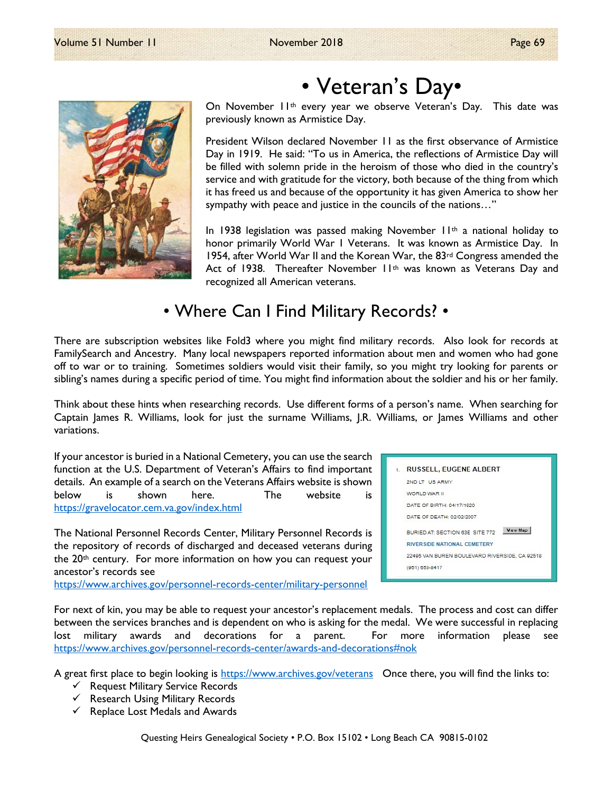

# • Veteran's Day•

On November 11<sup>th</sup> every year we observe Veteran's Day. This date was previously known as Armistice Day.

President Wilson declared November 11 as the first observance of Armistice Day in 1919. He said: "To us in America, the reflections of Armistice Day will be filled with solemn pride in the heroism of those who died in the country's service and with gratitude for the victory, both because of the thing from which it has freed us and because of the opportunity it has given America to show her sympathy with peace and justice in the councils of the nations…"

In 1938 legislation was passed making November 11<sup>th</sup> a national holiday to honor primarily World War 1 Veterans. It was known as Armistice Day. In 1954, after World War II and the Korean War, the 83rd Congress amended the Act of 1938. Thereafter November 11<sup>th</sup> was known as Veterans Day and recognized all American veterans.

# • Where Can I Find Military Records? •

There are subscription websites like Fold3 where you might find military records. Also look for records at FamilySearch and Ancestry. Many local newspapers reported information about men and women who had gone off to war or to training. Sometimes soldiers would visit their family, so you might try looking for parents or sibling's names during a specific period of time. You might find information about the soldier and his or her family.

Think about these hints when researching records. Use different forms of a person's name. When searching for Captain James R. Williams, look for just the surname Williams, J.R. Williams, or James Williams and other variations.

If your ancestor is buried in a National Cemetery, you can use the search function at the U.S. Department of Veteran's Affairs to find important details. An example of a search on the Veterans Affairs website is shown below is shown here. The website is https://gravelocator.cem.va.gov/index.html

The National Personnel Records Center, Military Personnel Records is the repository of records of discharged and deceased veterans during the 20<sup>th</sup> century. For more information on how you can request your ancestor's records see

**RUSSELL, EUGENE ALBERT** 2ND LT US ARMY WORLD WAR II DATE OF BIRTH: 04/17/1920 DATE OF DEATH: 02/02/2007 BURIED AT: SECTION 63E SITE 772 Wew Map **RIVERSIDE NATIONAL CEMETERY** 22495 VAN BUREN BOULEVARD RIVERSIDE, CA 92518 (951) 653-8417

https://www.archives.gov/personnel-records-center/military-personnel

For next of kin, you may be able to request your ancestor's replacement medals. The process and cost can differ between the services branches and is dependent on who is asking for the medal. We were successful in replacing lost military awards and decorations for a parent. For more information please see https://www.archives.gov/personnel-records-center/awards-and-decorations#nok

A great first place to begin looking is https://www.archives.gov/veterans Once there, you will find the links to:

- $\checkmark$  Request Military Service Records
- $\checkmark$  Research Using Military Records
- $\checkmark$  Replace Lost Medals and Awards

Questing Heirs Genealogical Society • P.O. Box 15102 • Long Beach CA 90815-0102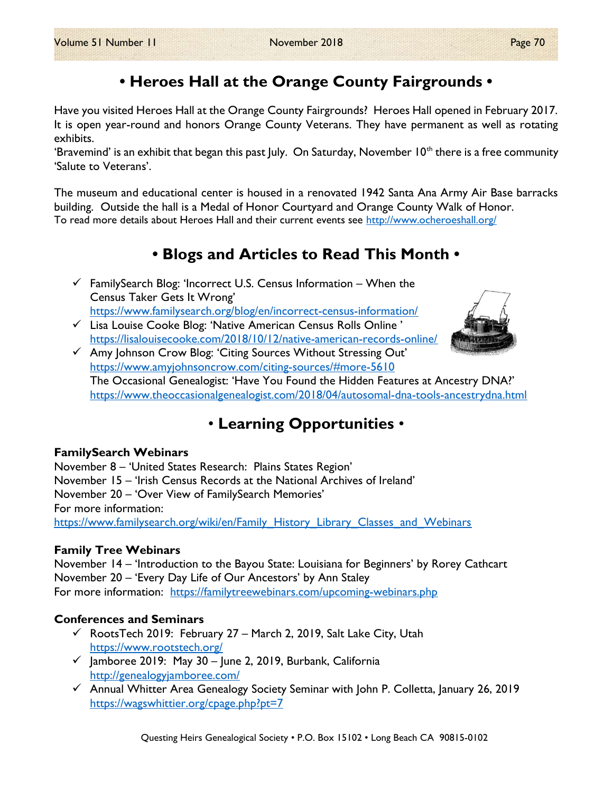# • Heroes Hall at the Orange County Fairgrounds •

Have you visited Heroes Hall at the Orange County Fairgrounds? Heroes Hall opened in February 2017. It is open year-round and honors Orange County Veterans. They have permanent as well as rotating exhibits.

'Bravemind' is an exhibit that began this past July. On Saturday, November  $10<sup>th</sup>$  there is a free community 'Salute to Veterans'.

The museum and educational center is housed in a renovated 1942 Santa Ana Army Air Base barracks building. Outside the hall is a Medal of Honor Courtyard and Orange County Walk of Honor. To read more details about Heroes Hall and their current events see http://www.ocheroeshall.org/

## • Blogs and Articles to Read This Month •

- $\checkmark$  FamilySearch Blog: 'Incorrect U.S. Census Information When the Census Taker Gets It Wrong' https://www.familysearch.org/blog/en/incorrect-census-information/
- $\checkmark$  Lisa Louise Cooke Blog: 'Native American Census Rolls Online' https://lisalouisecooke.com/2018/10/12/native-american-records-online/
- $\checkmark$  Amy Johnson Crow Blog: 'Citing Sources Without Stressing Out' https://www.amyjohnsoncrow.com/citing-sources/#more-5610 The Occasional Genealogist: 'Have You Found the Hidden Features at Ancestry DNA?' https://www.theoccasionalgenealogist.com/2018/04/autosomal-dna-tools-ancestrydna.html

# • Learning Opportunities •

### FamilySearch Webinars

November 8 – 'United States Research: Plains States Region' November 15 – 'Irish Census Records at the National Archives of Ireland' November 20 – 'Over View of FamilySearch Memories' For more information: https://www.familysearch.org/wiki/en/Family History Library Classes and Webinars

### Family Tree Webinars

November 14 – 'Introduction to the Bayou State: Louisiana for Beginners' by Rorey Cathcart November 20 – 'Every Day Life of Our Ancestors' by Ann Staley For more information: https://familytreewebinars.com/upcoming-webinars.php

### Conferences and Seminars

- $\checkmark$  RootsTech 2019: February 27 March 2, 2019, Salt Lake City, Utah https://www.rootstech.org/
- $\checkmark$  Jamboree 2019: May 30 June 2, 2019, Burbank, California http://genealogyjamboree.com/
- $\checkmark$  Annual Whitter Area Genealogy Society Seminar with John P. Colletta, January 26, 2019 https://wagswhittier.org/cpage.php?pt=7

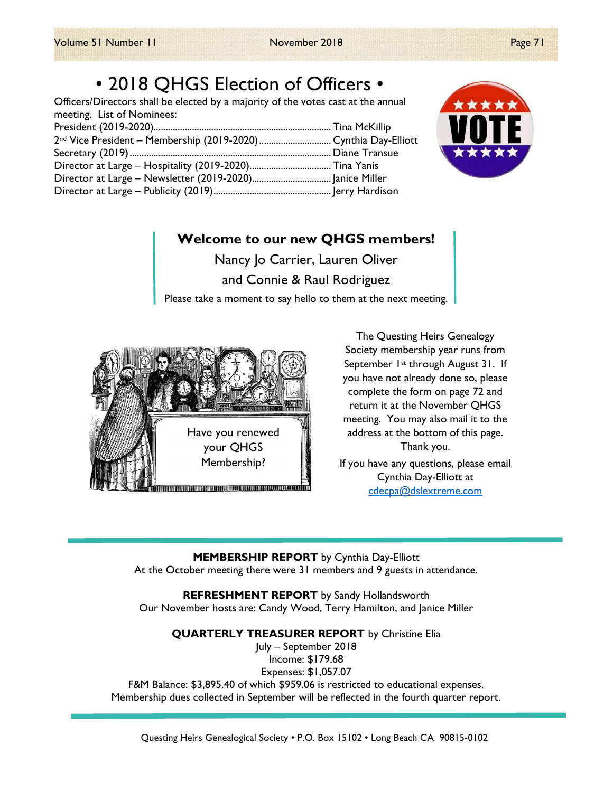# • 2018 QHGS Election of Officers •

Officers/Directors shall be elected by a majority of the votes cast at the annual meeting. List of Nominees: President (2019-2020).......................................................................... Tina McKillip  $2<sub>nd</sub>$  Vice President – Memhership (2019-2020)



## Welcome to our new QHGS members!

Nancy Jo Carrier, Lauren Oliver and Connie & Raul Rodriguez Please take a moment to say hello to them at the next meeting.



The Questing Heirs Genealogy Society membership year runs from September 1<sup>st</sup> through August 31. If you have not already done so, please complete the form on page 72 and return it at the November QHGS meeting. You may also mail it to the address at the bottom of this page. Thank you.

If you have any questions, please email Cynthia Day-Elliott at cdecpa@dslextreme.com

MEMBERSHIP REPORT by Cynthia Day-Elliott At the October meeting there were 31 members and 9 guests in attendance.

REFRESHMENT REPORT by Sandy Hollandsworth Our November hosts are: Candy Wood, Terry Hamilton, and Janice Miller

QUARTERLY TREASURER REPORT by Christine Elia

July – September 2018 Income: \$179.68 Expenses: \$1,057.07 F&M Balance: \$3,895.40 of which \$959.06 is restricted to educational expenses. Membership dues collected in September will be reflected in the fourth quarter report.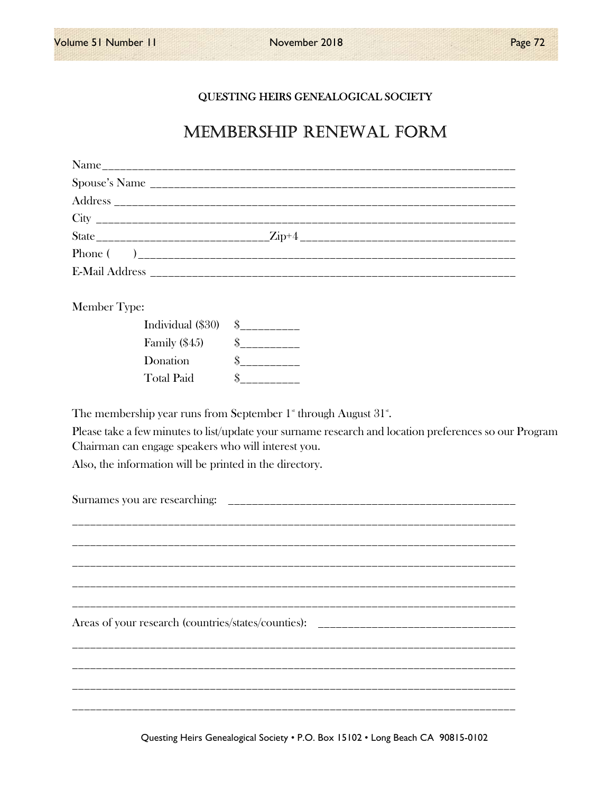### QUESTING HEIRS GENEALOGICAL SOCIETY

## MEMBERSHIP RENEWAL FORM

| Member Type: |                   |                                                                                                                                                                                                                          |  |
|--------------|-------------------|--------------------------------------------------------------------------------------------------------------------------------------------------------------------------------------------------------------------------|--|
|              | Individual (\$30) | $S$ ___________                                                                                                                                                                                                          |  |
|              | Family $(\$45)$   | $S$ ___________                                                                                                                                                                                                          |  |
|              | Donation          | $S$ ____________                                                                                                                                                                                                         |  |
|              | <b>Total Paid</b> | $\sim$                                                                                                                                                                                                                   |  |
|              |                   | Please take a few minutes to list/update your surname research and location preferences so our Program<br>Chairman can engage speakers who will interest you.<br>Also, the information will be printed in the directory. |  |
|              |                   |                                                                                                                                                                                                                          |  |
|              |                   | Areas of your research (countries/states/counties): _____________________________                                                                                                                                        |  |
|              |                   |                                                                                                                                                                                                                          |  |

Questing Heirs Genealogical Society . P.O. Box 15102 . Long Beach CA 90815-0102